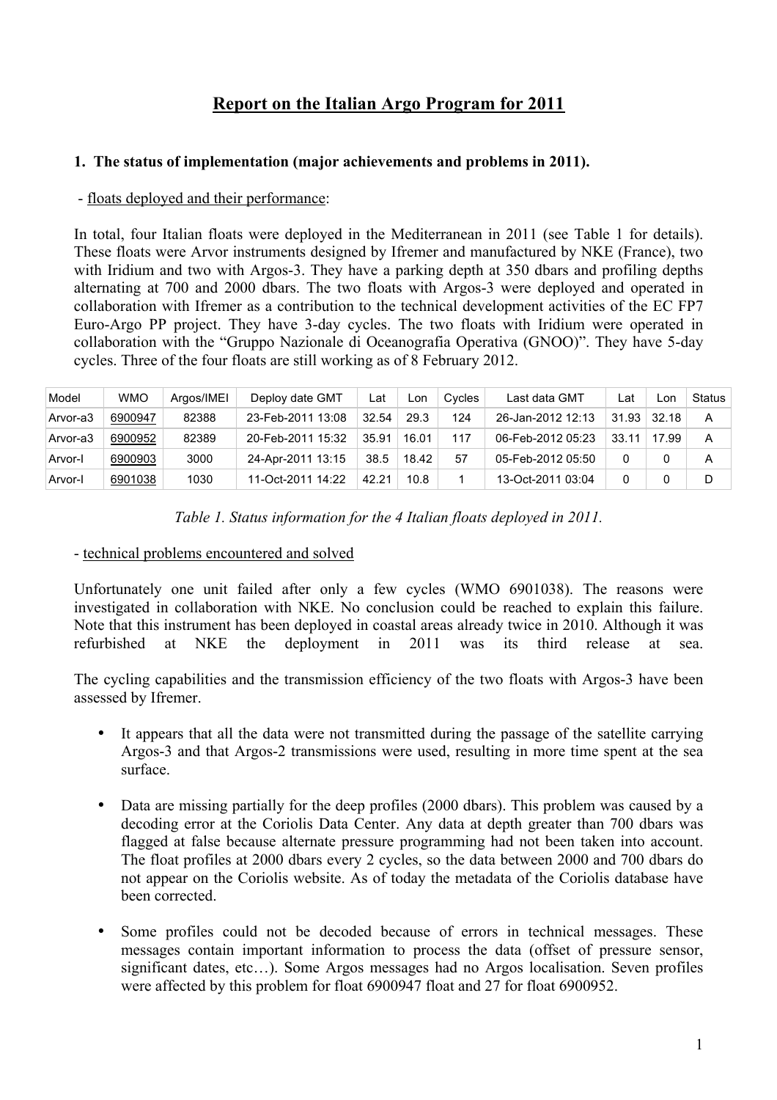# **Report on the Italian Argo Program for 2011**

#### **1. The status of implementation (major achievements and problems in 2011).**

#### - floats deployed and their performance:

In total, four Italian floats were deployed in the Mediterranean in 2011 (see Table 1 for details). These floats were Arvor instruments designed by Ifremer and manufactured by NKE (France), two with Iridium and two with Argos-3. They have a parking depth at 350 dbars and profiling depths alternating at 700 and 2000 dbars. The two floats with Argos-3 were deployed and operated in collaboration with Ifremer as a contribution to the technical development activities of the EC FP7 Euro-Argo PP project. They have 3-day cycles. The two floats with Iridium were operated in collaboration with the "Gruppo Nazionale di Oceanografia Operativa (GNOO)". They have 5-day cycles. Three of the four floats are still working as of 8 February 2012.

| Model    | <b>WMO</b> | Argos/IMEI | Deploy date GMT   | ∟at   | ∟on   | Cycles | Last data GMT     | ∟at   | Lon   | Status |
|----------|------------|------------|-------------------|-------|-------|--------|-------------------|-------|-------|--------|
| Arvor-a3 | 6900947    | 82388      | 23-Feb-2011 13:08 | 32.54 | 29.3  | 124    | 26-Jan-2012 12:13 | 31.93 | 32.18 | А      |
| Arvor-a3 | 6900952    | 82389      | 20-Feb-2011 15:32 | 35.91 | 16.01 | 117    | 06-Feb-2012 05:23 | 33.11 | 17.99 | А      |
| Arvor-I  | 6900903    | 3000       | 24-Apr-2011 13:15 | 38.5  | 18.42 | 57     | 05-Feb-2012 05:50 | 0     |       | A      |
| Arvor-I  | 6901038    | 1030       | 11-Oct-2011 14:22 | 42.21 | 10.8  |        | 13-Oct-2011 03:04 |       |       | D      |

*Table 1. Status information for the 4 Italian floats deployed in 2011.*

#### - technical problems encountered and solved

Unfortunately one unit failed after only a few cycles (WMO 6901038). The reasons were investigated in collaboration with NKE. No conclusion could be reached to explain this failure. Note that this instrument has been deployed in coastal areas already twice in 2010. Although it was refurbished at NKE the deployment in 2011 was its third release at sea.

The cycling capabilities and the transmission efficiency of the two floats with Argos-3 have been assessed by Ifremer.

- It appears that all the data were not transmitted during the passage of the satellite carrying Argos-3 and that Argos-2 transmissions were used, resulting in more time spent at the sea surface.
- Data are missing partially for the deep profiles (2000 dbars). This problem was caused by a decoding error at the Coriolis Data Center. Any data at depth greater than 700 dbars was flagged at false because alternate pressure programming had not been taken into account. The float profiles at 2000 dbars every 2 cycles, so the data between 2000 and 700 dbars do not appear on the Coriolis website. As of today the metadata of the Coriolis database have been corrected.
- Some profiles could not be decoded because of errors in technical messages. These messages contain important information to process the data (offset of pressure sensor, significant dates, etc…). Some Argos messages had no Argos localisation. Seven profiles were affected by this problem for float 6900947 float and 27 for float 6900952.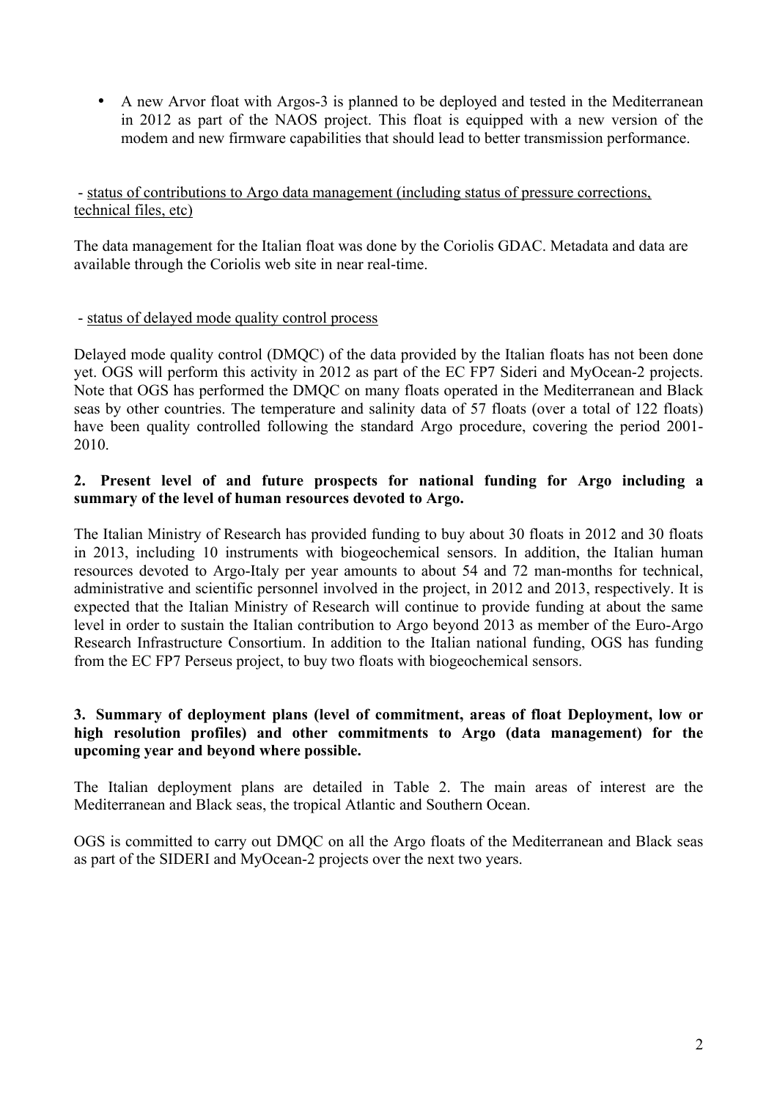• A new Arvor float with Argos-3 is planned to be deployed and tested in the Mediterranean in 2012 as part of the NAOS project. This float is equipped with a new version of the modem and new firmware capabilities that should lead to better transmission performance.

- status of contributions to Argo data management (including status of pressure corrections, technical files, etc)

The data management for the Italian float was done by the Coriolis GDAC. Metadata and data are available through the Coriolis web site in near real-time.

#### - status of delayed mode quality control process

Delayed mode quality control (DMQC) of the data provided by the Italian floats has not been done yet. OGS will perform this activity in 2012 as part of the EC FP7 Sideri and MyOcean-2 projects. Note that OGS has performed the DMQC on many floats operated in the Mediterranean and Black seas by other countries. The temperature and salinity data of 57 floats (over a total of 122 floats) have been quality controlled following the standard Argo procedure, covering the period 2001- 2010.

#### **2. Present level of and future prospects for national funding for Argo including a summary of the level of human resources devoted to Argo.**

The Italian Ministry of Research has provided funding to buy about 30 floats in 2012 and 30 floats in 2013, including 10 instruments with biogeochemical sensors. In addition, the Italian human resources devoted to Argo-Italy per year amounts to about 54 and 72 man-months for technical, administrative and scientific personnel involved in the project, in 2012 and 2013, respectively. It is expected that the Italian Ministry of Research will continue to provide funding at about the same level in order to sustain the Italian contribution to Argo beyond 2013 as member of the Euro-Argo Research Infrastructure Consortium. In addition to the Italian national funding, OGS has funding from the EC FP7 Perseus project, to buy two floats with biogeochemical sensors.

### **3. Summary of deployment plans (level of commitment, areas of float Deployment, low or high resolution profiles) and other commitments to Argo (data management) for the upcoming year and beyond where possible.**

The Italian deployment plans are detailed in Table 2. The main areas of interest are the Mediterranean and Black seas, the tropical Atlantic and Southern Ocean.

OGS is committed to carry out DMQC on all the Argo floats of the Mediterranean and Black seas as part of the SIDERI and MyOcean-2 projects over the next two years.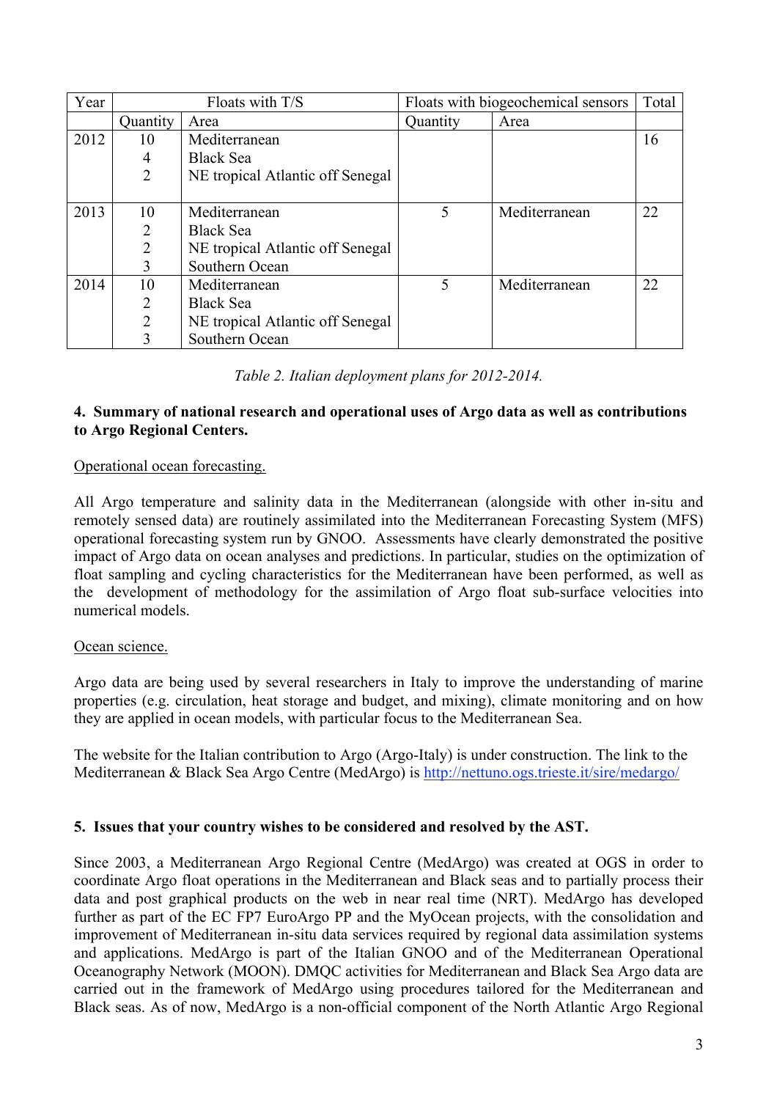| Year | Floats with T/S |                                  | Floats with biogeochemical sensors | Total         |    |
|------|-----------------|----------------------------------|------------------------------------|---------------|----|
|      | Quantity        | Area                             | Quantity                           | Area          |    |
| 2012 | 10              | Mediterranean                    |                                    |               | 16 |
|      | 4               | <b>Black Sea</b>                 |                                    |               |    |
|      | $\overline{2}$  | NE tropical Atlantic off Senegal |                                    |               |    |
|      |                 |                                  |                                    |               |    |
| 2013 | 10              | Mediterranean                    | $\overline{\mathcal{L}}$           | Mediterranean | 22 |
|      | 2               | <b>Black Sea</b>                 |                                    |               |    |
|      | 2               | NE tropical Atlantic off Senegal |                                    |               |    |
|      | 3               | Southern Ocean                   |                                    |               |    |
| 2014 | 10              | Mediterranean                    | 5                                  | Mediterranean | 22 |
|      | 2               | <b>Black Sea</b>                 |                                    |               |    |
|      | $\overline{2}$  | NE tropical Atlantic off Senegal |                                    |               |    |
|      |                 | Southern Ocean                   |                                    |               |    |

### *Table 2. Italian deployment plans for 2012-2014.*

### **4. Summary of national research and operational uses of Argo data as well as contributions to Argo Regional Centers.**

## Operational ocean forecasting.

All Argo temperature and salinity data in the Mediterranean (alongside with other in-situ and remotely sensed data) are routinely assimilated into the Mediterranean Forecasting System (MFS) operational forecasting system run by GNOO. Assessments have clearly demonstrated the positive impact of Argo data on ocean analyses and predictions. In particular, studies on the optimization of float sampling and cycling characteristics for the Mediterranean have been performed, as well as the development of methodology for the assimilation of Argo float sub-surface velocities into numerical models.

# Ocean science.

Argo data are being used by several researchers in Italy to improve the understanding of marine properties (e.g. circulation, heat storage and budget, and mixing), climate monitoring and on how they are applied in ocean models, with particular focus to the Mediterranean Sea.

The website for the Italian contribution to Argo (Argo-Italy) is under construction. The link to the Mediterranean & Black Sea Argo Centre (MedArgo) is http://nettuno.ogs.trieste.it/sire/medargo/

# **5. Issues that your country wishes to be considered and resolved by the AST.**

Since 2003, a Mediterranean Argo Regional Centre (MedArgo) was created at OGS in order to coordinate Argo float operations in the Mediterranean and Black seas and to partially process their data and post graphical products on the web in near real time (NRT). MedArgo has developed further as part of the EC FP7 EuroArgo PP and the MyOcean projects, with the consolidation and improvement of Mediterranean in-situ data services required by regional data assimilation systems and applications. MedArgo is part of the Italian GNOO and of the Mediterranean Operational Oceanography Network (MOON). DMQC activities for Mediterranean and Black Sea Argo data are carried out in the framework of MedArgo using procedures tailored for the Mediterranean and Black seas. As of now, MedArgo is a non-official component of the North Atlantic Argo Regional